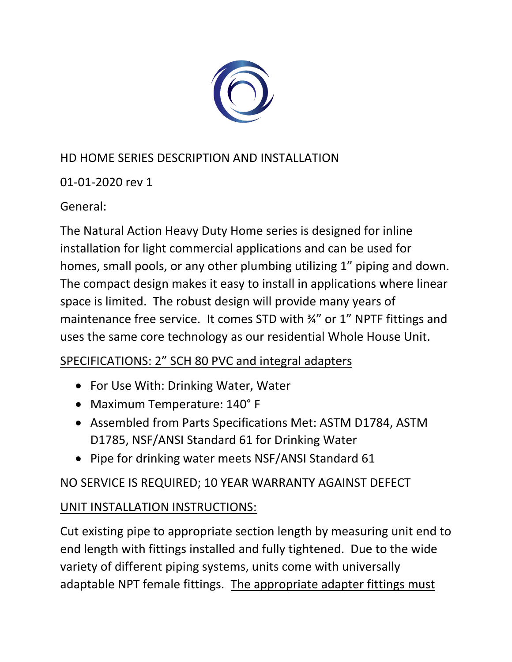

# HD HOME SERIES DESCRIPTION AND INSTALLATION

01-01-2020 rev 1

General:

The Natural Action Heavy Duty Home series is designed for inline installation for light commercial applications and can be used for homes, small pools, or any other plumbing utilizing 1" piping and down. The compact design makes it easy to install in applications where linear space is limited. The robust design will provide many years of maintenance free service. It comes STD with ¾" or 1" NPTF fittings and uses the same core technology as our residential Whole House Unit.

## SPECIFICATIONS: 2" SCH 80 PVC and integral adapters

- For Use With: Drinking Water, Water
- Maximum Temperature: 140° F
- Assembled from Parts Specifications Met: ASTM D1784, ASTM D1785, NSF/ANSI Standard 61 for Drinking Water
- Pipe for drinking water meets NSF/ANSI Standard 61

NO SERVICE IS REQUIRED; 10 YEAR WARRANTY AGAINST DEFECT

## UNIT INSTALLATION INSTRUCTIONS:

Cut existing pipe to appropriate section length by measuring unit end to end length with fittings installed and fully tightened. Due to the wide variety of different piping systems, units come with universally adaptable NPT female fittings. The appropriate adapter fittings must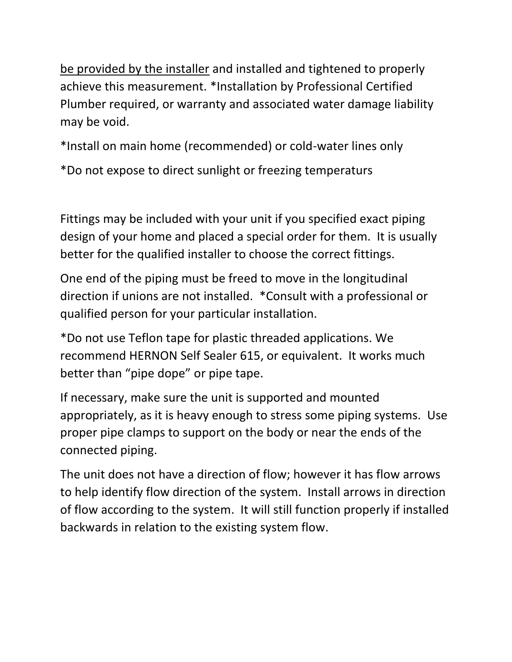be provided by the installer and installed and tightened to properly achieve this measurement. \*Installation by Professional Certified Plumber required, or warranty and associated water damage liability may be void.

\*Install on main home (recommended) or cold-water lines only

\*Do not expose to direct sunlight or freezing temperaturs

Fittings may be included with your unit if you specified exact piping design of your home and placed a special order for them. It is usually better for the qualified installer to choose the correct fittings.

One end of the piping must be freed to move in the longitudinal direction if unions are not installed. \*Consult with a professional or qualified person for your particular installation.

\*Do not use Teflon tape for plastic threaded applications. We recommend HERNON Self Sealer 615, or equivalent. It works much better than "pipe dope" or pipe tape.

If necessary, make sure the unit is supported and mounted appropriately, as it is heavy enough to stress some piping systems. Use proper pipe clamps to support on the body or near the ends of the connected piping.

The unit does not have a direction of flow; however it has flow arrows to help identify flow direction of the system. Install arrows in direction of flow according to the system. It will still function properly if installed backwards in relation to the existing system flow.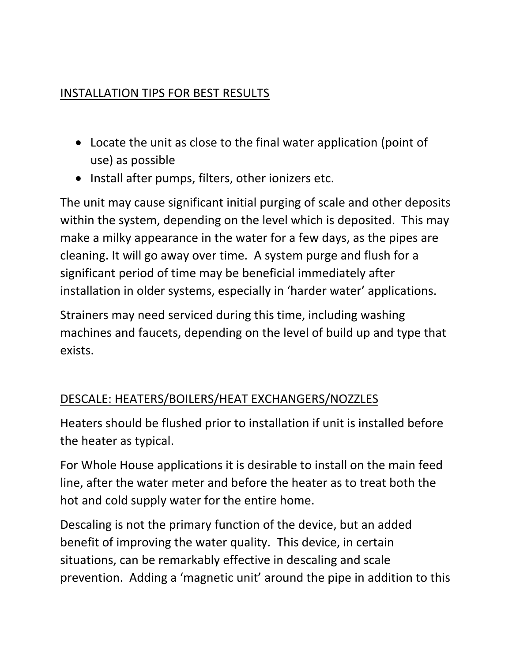### INSTALLATION TIPS FOR BEST RESULTS

- Locate the unit as close to the final water application (point of use) as possible
- Install after pumps, filters, other ionizers etc.

The unit may cause significant initial purging of scale and other deposits within the system, depending on the level which is deposited. This may make a milky appearance in the water for a few days, as the pipes are cleaning. It will go away over time. A system purge and flush for a significant period of time may be beneficial immediately after installation in older systems, especially in 'harder water' applications.

Strainers may need serviced during this time, including washing machines and faucets, depending on the level of build up and type that exists.

## DESCALE: HEATERS/BOILERS/HEAT EXCHANGERS/NOZZLES

Heaters should be flushed prior to installation if unit is installed before the heater as typical.

For Whole House applications it is desirable to install on the main feed line, after the water meter and before the heater as to treat both the hot and cold supply water for the entire home.

Descaling is not the primary function of the device, but an added benefit of improving the water quality. This device, in certain situations, can be remarkably effective in descaling and scale prevention. Adding a 'magnetic unit' around the pipe in addition to this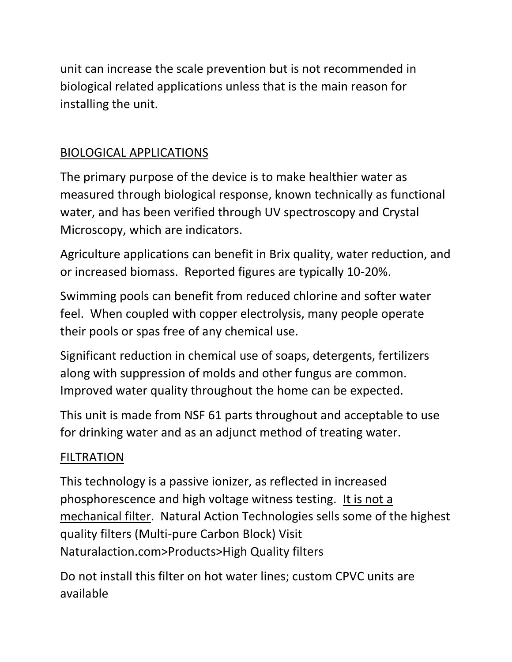unit can increase the scale prevention but is not recommended in biological related applications unless that is the main reason for installing the unit.

## BIOLOGICAL APPLICATIONS

The primary purpose of the device is to make healthier water as measured through biological response, known technically as functional water, and has been verified through UV spectroscopy and Crystal Microscopy, which are indicators.

Agriculture applications can benefit in Brix quality, water reduction, and or increased biomass. Reported figures are typically 10-20%.

Swimming pools can benefit from reduced chlorine and softer water feel. When coupled with copper electrolysis, many people operate their pools or spas free of any chemical use.

Significant reduction in chemical use of soaps, detergents, fertilizers along with suppression of molds and other fungus are common. Improved water quality throughout the home can be expected.

This unit is made from NSF 61 parts throughout and acceptable to use for drinking water and as an adjunct method of treating water.

#### FILTRATION

This technology is a passive ionizer, as reflected in increased phosphorescence and high voltage witness testing. It is not a mechanical filter. Natural Action Technologies sells some of the highest quality filters (Multi-pure Carbon Block) Visit Naturalaction.com>Products>High Quality filters

Do not install this filter on hot water lines; custom CPVC units are available